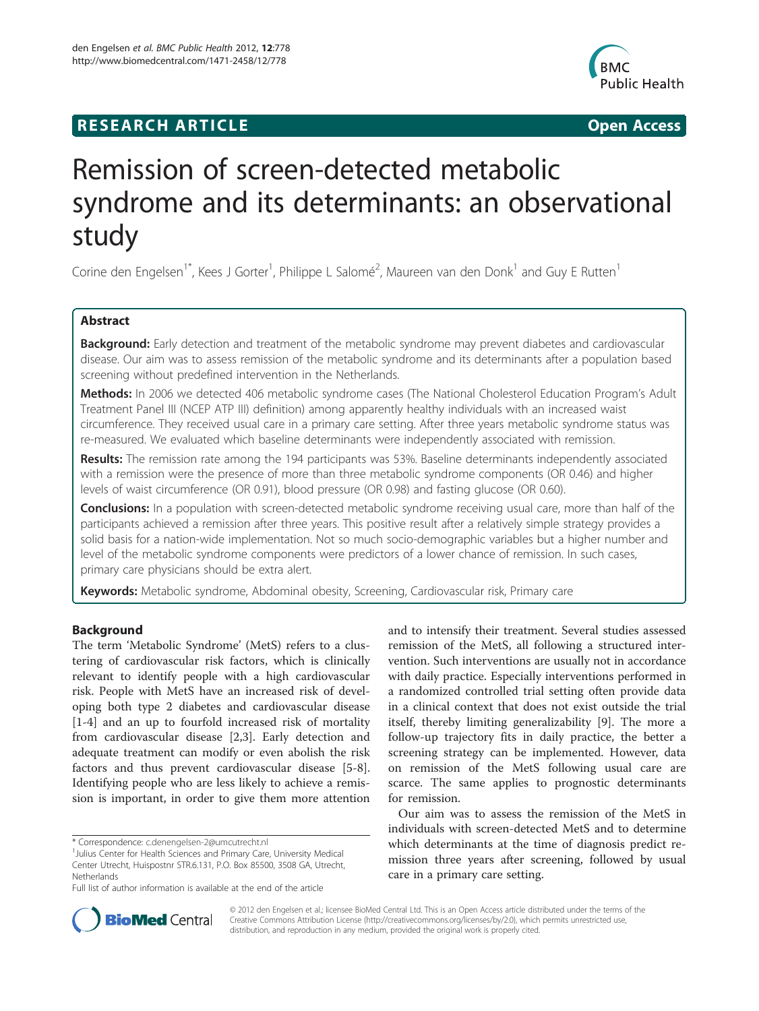# **RESEARCH ARTICLE Example 2014 12:30 The Community Community Community Community Community Community Community**



# Remission of screen-detected metabolic syndrome and its determinants: an observational study

Corine den Engelsen<sup>1\*</sup>, Kees J Gorter<sup>1</sup>, Philippe L Salomé<sup>2</sup>, Maureen van den Donk<sup>1</sup> and Guy E Rutten<sup>1</sup>

# Abstract

Background: Early detection and treatment of the metabolic syndrome may prevent diabetes and cardiovascular disease. Our aim was to assess remission of the metabolic syndrome and its determinants after a population based screening without predefined intervention in the Netherlands.

Methods: In 2006 we detected 406 metabolic syndrome cases (The National Cholesterol Education Program's Adult Treatment Panel III (NCEP ATP III) definition) among apparently healthy individuals with an increased waist circumference. They received usual care in a primary care setting. After three years metabolic syndrome status was re-measured. We evaluated which baseline determinants were independently associated with remission.

Results: The remission rate among the 194 participants was 53%. Baseline determinants independently associated with a remission were the presence of more than three metabolic syndrome components (OR 0.46) and higher levels of waist circumference (OR 0.91), blood pressure (OR 0.98) and fasting glucose (OR 0.60).

Conclusions: In a population with screen-detected metabolic syndrome receiving usual care, more than half of the participants achieved a remission after three years. This positive result after a relatively simple strategy provides a solid basis for a nation-wide implementation. Not so much socio-demographic variables but a higher number and level of the metabolic syndrome components were predictors of a lower chance of remission. In such cases, primary care physicians should be extra alert.

Keywords: Metabolic syndrome, Abdominal obesity, Screening, Cardiovascular risk, Primary care

# Background

The term 'Metabolic Syndrome' (MetS) refers to a clustering of cardiovascular risk factors, which is clinically relevant to identify people with a high cardiovascular risk. People with MetS have an increased risk of developing both type 2 diabetes and cardiovascular disease [[1-4](#page-6-0)] and an up to fourfold increased risk of mortality from cardiovascular disease [\[2,3](#page-6-0)]. Early detection and adequate treatment can modify or even abolish the risk factors and thus prevent cardiovascular disease [[5](#page-6-0)[-8](#page-7-0)]. Identifying people who are less likely to achieve a remission is important, in order to give them more attention

and to intensify their treatment. Several studies assessed remission of the MetS, all following a structured intervention. Such interventions are usually not in accordance with daily practice. Especially interventions performed in a randomized controlled trial setting often provide data in a clinical context that does not exist outside the trial itself, thereby limiting generalizability [\[9\]](#page-7-0). The more a follow-up trajectory fits in daily practice, the better a screening strategy can be implemented. However, data on remission of the MetS following usual care are scarce. The same applies to prognostic determinants for remission.

Our aim was to assess the remission of the MetS in individuals with screen-detected MetS and to determine which determinants at the time of diagnosis predict remission three years after screening, followed by usual care in a primary care setting.



© 2012 den Engelsen et al.; licensee BioMed Central Ltd. This is an Open Access article distributed under the terms of the Creative Commons Attribution License (<http://creativecommons.org/licenses/by/2.0>), which permits unrestricted use, distribution, and reproduction in any medium, provided the original work is properly cited.

<sup>\*</sup> Correspondence: [c.denengelsen-2@umcutrecht.nl](mailto:c.denengelsen--umcutrecht.nl) <sup>1</sup>

<sup>&</sup>lt;sup>1</sup>Julius Center for Health Sciences and Primary Care, University Medical Center Utrecht, Huispostnr STR.6.131, P.O. Box 85500, 3508 GA, Utrecht, Netherlands

Full list of author information is available at the end of the article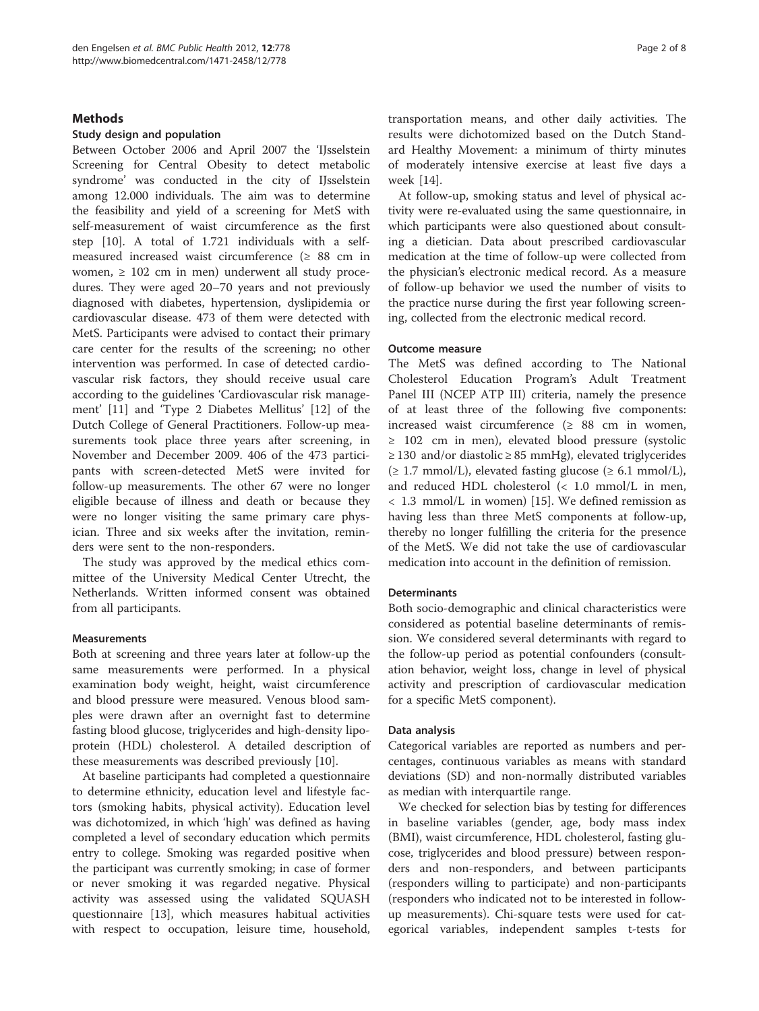# **Methods**

# Study design and population

Between October 2006 and April 2007 the 'IJsselstein Screening for Central Obesity to detect metabolic syndrome' was conducted in the city of IJsselstein among 12.000 individuals. The aim was to determine the feasibility and yield of a screening for MetS with self-measurement of waist circumference as the first step [\[10\]](#page-7-0). A total of 1.721 individuals with a selfmeasured increased waist circumference  $(≥ 88$  cm in women,  $\geq 102$  cm in men) underwent all study procedures. They were aged 20–70 years and not previously diagnosed with diabetes, hypertension, dyslipidemia or cardiovascular disease. 473 of them were detected with MetS. Participants were advised to contact their primary care center for the results of the screening; no other intervention was performed. In case of detected cardiovascular risk factors, they should receive usual care according to the guidelines 'Cardiovascular risk management' [[11\]](#page-7-0) and 'Type 2 Diabetes Mellitus' [[12\]](#page-7-0) of the Dutch College of General Practitioners. Follow-up measurements took place three years after screening, in November and December 2009. 406 of the 473 participants with screen-detected MetS were invited for follow-up measurements. The other 67 were no longer eligible because of illness and death or because they were no longer visiting the same primary care physician. Three and six weeks after the invitation, reminders were sent to the non-responders.

The study was approved by the medical ethics committee of the University Medical Center Utrecht, the Netherlands. Written informed consent was obtained from all participants.

# Measurements

Both at screening and three years later at follow-up the same measurements were performed. In a physical examination body weight, height, waist circumference and blood pressure were measured. Venous blood samples were drawn after an overnight fast to determine fasting blood glucose, triglycerides and high-density lipoprotein (HDL) cholesterol. A detailed description of these measurements was described previously [\[10](#page-7-0)].

At baseline participants had completed a questionnaire to determine ethnicity, education level and lifestyle factors (smoking habits, physical activity). Education level was dichotomized, in which 'high' was defined as having completed a level of secondary education which permits entry to college. Smoking was regarded positive when the participant was currently smoking; in case of former or never smoking it was regarded negative. Physical activity was assessed using the validated SQUASH questionnaire [\[13\]](#page-7-0), which measures habitual activities with respect to occupation, leisure time, household,

transportation means, and other daily activities. The results were dichotomized based on the Dutch Standard Healthy Movement: a minimum of thirty minutes of moderately intensive exercise at least five days a week [\[14\]](#page-7-0).

At follow-up, smoking status and level of physical activity were re-evaluated using the same questionnaire, in which participants were also questioned about consulting a dietician. Data about prescribed cardiovascular medication at the time of follow-up were collected from the physician's electronic medical record. As a measure of follow-up behavior we used the number of visits to the practice nurse during the first year following screening, collected from the electronic medical record.

# Outcome measure

The MetS was defined according to The National Cholesterol Education Program's Adult Treatment Panel III (NCEP ATP III) criteria, namely the presence of at least three of the following five components: increased waist circumference  $(≥ 88$  cm in women, ≥ 102 cm in men), elevated blood pressure (systolic ≥ 130 and/or diastolic ≥ 85 mmHg), elevated triglycerides  $(\geq 1.7 \text{ mmol/L})$ , elevated fasting glucose ( $\geq 6.1 \text{ mmol/L}$ ), and reduced HDL cholesterol (< 1.0 mmol/L in men, < 1.3 mmol/L in women) [[15\]](#page-7-0). We defined remission as having less than three MetS components at follow-up, thereby no longer fulfilling the criteria for the presence of the MetS. We did not take the use of cardiovascular medication into account in the definition of remission.

## **Determinants**

Both socio-demographic and clinical characteristics were considered as potential baseline determinants of remission. We considered several determinants with regard to the follow-up period as potential confounders (consultation behavior, weight loss, change in level of physical activity and prescription of cardiovascular medication for a specific MetS component).

#### Data analysis

Categorical variables are reported as numbers and percentages, continuous variables as means with standard deviations (SD) and non-normally distributed variables as median with interquartile range.

We checked for selection bias by testing for differences in baseline variables (gender, age, body mass index (BMI), waist circumference, HDL cholesterol, fasting glucose, triglycerides and blood pressure) between responders and non-responders, and between participants (responders willing to participate) and non-participants (responders who indicated not to be interested in followup measurements). Chi-square tests were used for categorical variables, independent samples t-tests for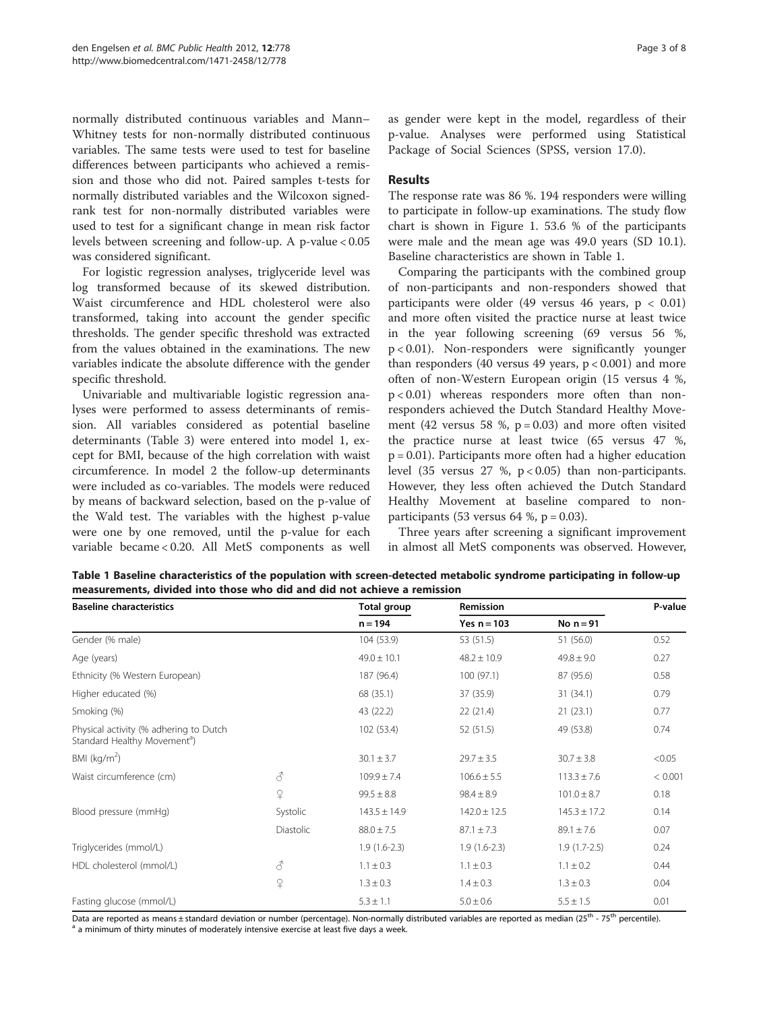<span id="page-2-0"></span>normally distributed continuous variables and Mann– Whitney tests for non-normally distributed continuous variables. The same tests were used to test for baseline differences between participants who achieved a remission and those who did not. Paired samples t-tests for normally distributed variables and the Wilcoxon signedrank test for non-normally distributed variables were used to test for a significant change in mean risk factor levels between screening and follow-up. A p-value < 0.05 was considered significant.

For logistic regression analyses, triglyceride level was log transformed because of its skewed distribution. Waist circumference and HDL cholesterol were also transformed, taking into account the gender specific thresholds. The gender specific threshold was extracted from the values obtained in the examinations. The new variables indicate the absolute difference with the gender specific threshold.

Univariable and multivariable logistic regression analyses were performed to assess determinants of remission. All variables considered as potential baseline determinants (Table [3\)](#page-4-0) were entered into model 1, except for BMI, because of the high correlation with waist circumference. In model 2 the follow-up determinants were included as co-variables. The models were reduced by means of backward selection, based on the p-value of the Wald test. The variables with the highest p-value were one by one removed, until the p-value for each variable became < 0.20. All MetS components as well

as gender were kept in the model, regardless of their p-value. Analyses were performed using Statistical Package of Social Sciences (SPSS, version 17.0).

# Results

The response rate was 86 %. 194 responders were willing to participate in follow-up examinations. The study flow chart is shown in Figure [1](#page-3-0). 53.6 % of the participants were male and the mean age was 49.0 years (SD 10.1). Baseline characteristics are shown in Table 1.

Comparing the participants with the combined group of non-participants and non-responders showed that participants were older  $(49 \text{ versus } 46 \text{ years}, p < 0.01)$ and more often visited the practice nurse at least twice in the year following screening (69 versus 56 %, p < 0.01). Non-responders were significantly younger than responders (40 versus 49 years,  $p < 0.001$ ) and more often of non-Western European origin (15 versus 4 %, p < 0.01) whereas responders more often than nonresponders achieved the Dutch Standard Healthy Movement (42 versus 58 %,  $p = 0.03$ ) and more often visited the practice nurse at least twice (65 versus 47 %, p = 0.01). Participants more often had a higher education level (35 versus 27 %,  $p < 0.05$ ) than non-participants. However, they less often achieved the Dutch Standard Healthy Movement at baseline compared to nonparticipants (53 versus 64 %,  $p = 0.03$ ).

Three years after screening a significant improvement in almost all MetS components was observed. However,

| <b>Baseline characteristics</b>                                                    |           | <b>Total group</b> | Remission        | P-value          |         |
|------------------------------------------------------------------------------------|-----------|--------------------|------------------|------------------|---------|
|                                                                                    |           | $n = 194$          | Yes $n = 103$    | No $n = 91$      |         |
| Gender (% male)                                                                    |           | 104 (53.9)         | 53 (51.5)        | 51 (56.0)        | 0.52    |
| Age (years)                                                                        |           | $49.0 \pm 10.1$    | $48.2 \pm 10.9$  | $49.8 \pm 9.0$   | 0.27    |
| Ethnicity (% Western European)                                                     |           | 187 (96.4)         | 100 (97.1)       | 87 (95.6)        | 0.58    |
| Higher educated (%)                                                                |           | 68 (35.1)          | 37 (35.9)        | 31(34.1)         | 0.79    |
| Smoking (%)                                                                        |           | 43 (22.2)          | 22(21.4)         | 21(23.1)         | 0.77    |
| Physical activity (% adhering to Dutch<br>Standard Healthy Movement <sup>a</sup> ) |           | 102 (53.4)         | 52 (51.5)        | 49 (53.8)        | 0.74    |
| BMI ( $kg/m2$ )                                                                    |           | $30.1 \pm 3.7$     | $29.7 \pm 3.5$   | $30.7 \pm 3.8$   | < 0.05  |
| Waist circumference (cm)                                                           | 8         | $109.9 \pm 7.4$    | $106.6 \pm 5.5$  | $113.3 \pm 7.6$  | < 0.001 |
|                                                                                    | $\Omega$  | $99.5 \pm 8.8$     | $98.4 \pm 8.9$   | $101.0 \pm 8.7$  | 0.18    |
| Blood pressure (mmHg)                                                              | Systolic  | $143.5 \pm 14.9$   | $142.0 \pm 12.5$ | $145.3 \pm 17.2$ | 0.14    |
|                                                                                    | Diastolic | $88.0 \pm 7.5$     | $87.1 \pm 7.3$   | $89.1 \pm 7.6$   | 0.07    |
| Triglycerides (mmol/L)                                                             |           | $1.9(1.6-2.3)$     | $1.9(1.6-2.3)$   | $1.9(1.7-2.5)$   | 0.24    |
| HDL cholesterol (mmol/L)                                                           | 8         | $1.1 \pm 0.3$      | $1.1 \pm 0.3$    | $1.1 \pm 0.2$    | 0.44    |
|                                                                                    | $\varphi$ | $1.3 \pm 0.3$      | $1.4 \pm 0.3$    | $1.3 \pm 0.3$    | 0.04    |
| Fasting glucose (mmol/L)                                                           |           | $5.3 \pm 1.1$      | $5.0 \pm 0.6$    | $5.5 \pm 1.5$    | 0.01    |

Table 1 Baseline characteristics of the population with screen-detected metabolic syndrome participating in follow-up measurements, divided into those who did and did not achieve a remission

Data are reported as means ± standard deviation or number (percentage). Non-normally distributed variables are reported as median (25<sup>th</sup> - 75<sup>th</sup> percentile).<br><sup>a</sup> a minimum of thirty minutes of moderately intensive exerci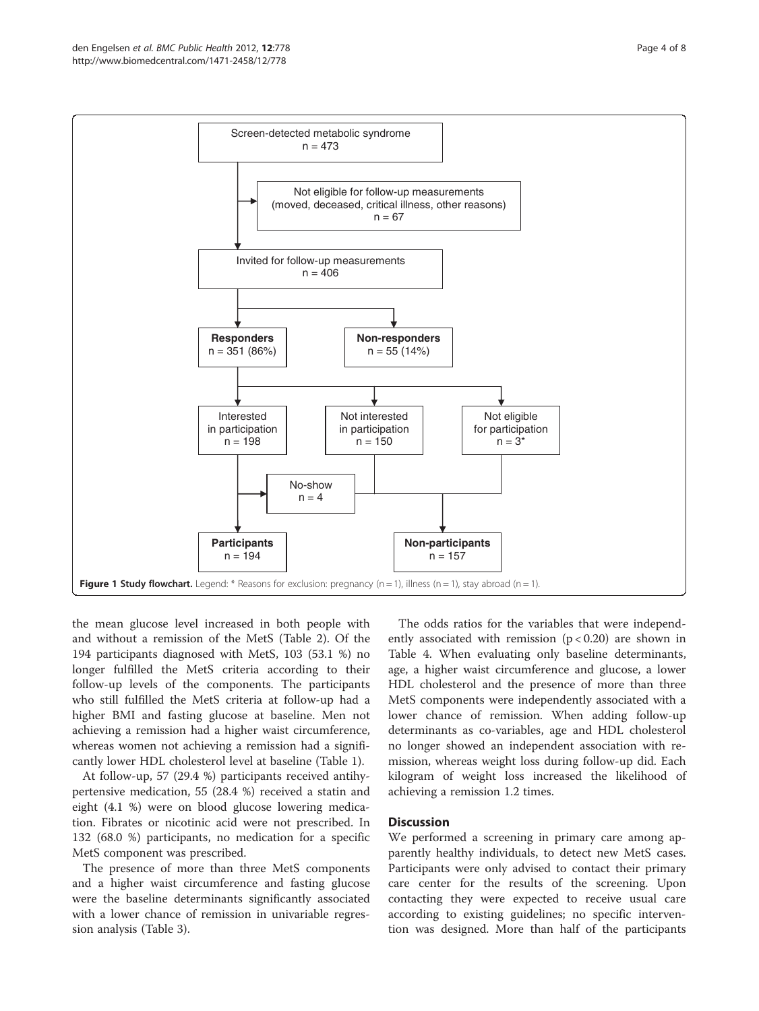<span id="page-3-0"></span>

the mean glucose level increased in both people with and without a remission of the MetS (Table [2](#page-4-0)). Of the 194 participants diagnosed with MetS, 103 (53.1 %) no longer fulfilled the MetS criteria according to their follow-up levels of the components. The participants who still fulfilled the MetS criteria at follow-up had a higher BMI and fasting glucose at baseline. Men not achieving a remission had a higher waist circumference, whereas women not achieving a remission had a significantly lower HDL cholesterol level at baseline (Table [1\)](#page-2-0).

At follow-up, 57 (29.4 %) participants received antihypertensive medication, 55 (28.4 %) received a statin and eight (4.1 %) were on blood glucose lowering medication. Fibrates or nicotinic acid were not prescribed. In 132 (68.0 %) participants, no medication for a specific MetS component was prescribed.

The presence of more than three MetS components and a higher waist circumference and fasting glucose were the baseline determinants significantly associated with a lower chance of remission in univariable regression analysis (Table [3\)](#page-4-0).

The odds ratios for the variables that were independently associated with remission  $(p < 0.20)$  are shown in Table [4](#page-5-0). When evaluating only baseline determinants, age, a higher waist circumference and glucose, a lower HDL cholesterol and the presence of more than three MetS components were independently associated with a lower chance of remission. When adding follow-up determinants as co-variables, age and HDL cholesterol no longer showed an independent association with remission, whereas weight loss during follow-up did. Each kilogram of weight loss increased the likelihood of achieving a remission 1.2 times.

# **Discussion**

We performed a screening in primary care among apparently healthy individuals, to detect new MetS cases. Participants were only advised to contact their primary care center for the results of the screening. Upon contacting they were expected to receive usual care according to existing guidelines; no specific intervention was designed. More than half of the participants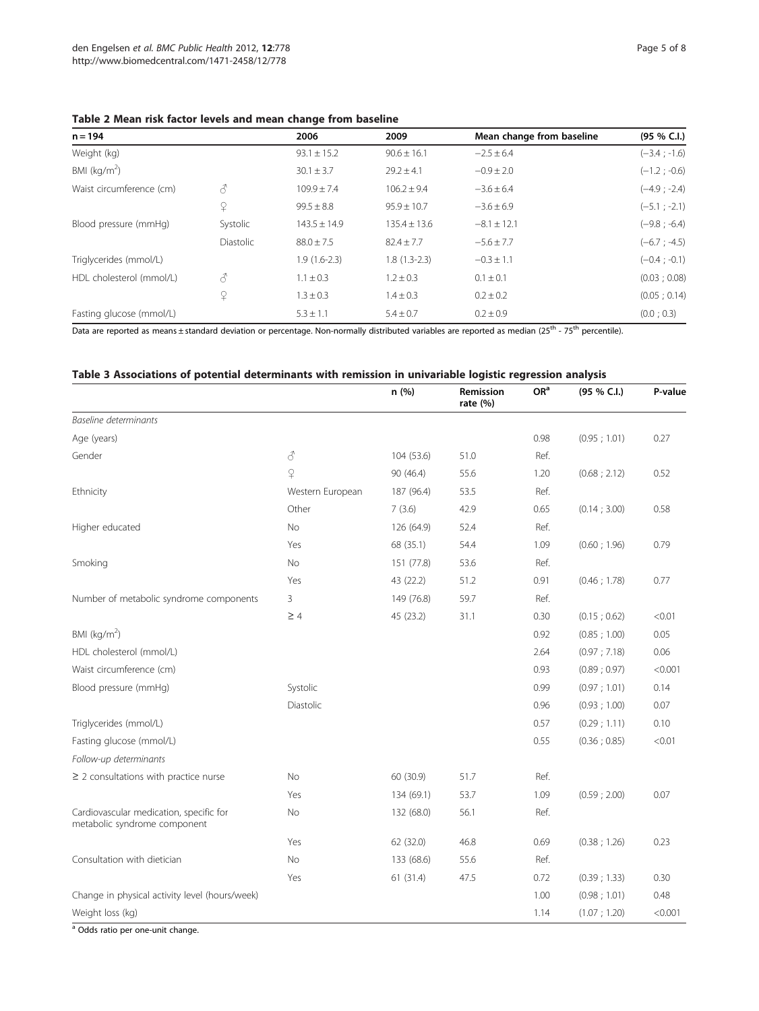<span id="page-4-0"></span>

| Table 2 Mean risk factor levels and mean change from baseline |  |  |  |  |
|---------------------------------------------------------------|--|--|--|--|
|---------------------------------------------------------------|--|--|--|--|

| $n = 194$                |                  | 2006             | 2009             | Mean change from baseline | (95 % C.I.)    |
|--------------------------|------------------|------------------|------------------|---------------------------|----------------|
| Weight (kg)              |                  | $93.1 \pm 15.2$  | $90.6 \pm 16.1$  | $-2.5 \pm 6.4$            | $(-3.4; -1.6)$ |
| BMI ( $kg/m2$ )          |                  | $30.1 \pm 3.7$   | $29.2 \pm 4.1$   | $-0.9 \pm 2.0$            | $(-1.2; -0.6)$ |
| Waist circumference (cm) | 8                | $109.9 \pm 7.4$  | $106.2 \pm 9.4$  | $-3.6 \pm 6.4$            | $(-4.9; -2.4)$ |
|                          | $\Omega$         | $99.5 \pm 8.8$   | $95.9 \pm 10.7$  | $-3.6 \pm 6.9$            | $(-5.1; -2.1)$ |
| Blood pressure (mmHq)    | Systolic         | $143.5 \pm 14.9$ | $135.4 \pm 13.6$ | $-8.1 \pm 12.1$           | $(-9.8; -6.4)$ |
|                          | <b>Diastolic</b> | $88.0 \pm 7.5$   | $82.4 \pm 7.7$   | $-5.6 \pm 7.7$            | $(-6.7; -4.5)$ |
| Triglycerides (mmol/L)   |                  | $1.9(1.6-2.3)$   | $1.8(1.3-2.3)$   | $-0.3 \pm 1.1$            | $(-0.4; -0.1)$ |
| HDL cholesterol (mmol/L) | 8                | $1.1 \pm 0.3$    | $1.2 \pm 0.3$    | $0.1 \pm 0.1$             | (0.03; 0.08)   |
|                          | ♀                | $1.3 \pm 0.3$    | $1.4 \pm 0.3$    | $0.2 \pm 0.2$             | (0.05; 0.14)   |
| Fasting glucose (mmol/L) |                  | $5.3 \pm 1.1$    | $5.4 \pm 0.7$    | $0.2 \pm 0.9$             | (0.0; 0.3)     |

Data are reported as means ± standard deviation or percentage. Non-normally distributed variables are reported as median (25<sup>th</sup> - 75<sup>th</sup> percentile).

# Table 3 Associations of potential determinants with remission in univariable logistic regression analysis

|                                                                         |                  | n(%)       | Remission<br>rate (%) | OR <sup>a</sup> | (95 % C.I.)  | P-value |
|-------------------------------------------------------------------------|------------------|------------|-----------------------|-----------------|--------------|---------|
| Baseline determinants                                                   |                  |            |                       |                 |              |         |
| Age (years)                                                             |                  |            |                       | 0.98            | (0.95; 1.01) | 0.27    |
| Gender                                                                  | 8                | 104 (53.6) | 51.0                  | Ref.            |              |         |
|                                                                         | $\Omega$         | 90 (46.4)  | 55.6                  | 1.20            | (0.68; 2.12) | 0.52    |
| Ethnicity                                                               | Western European | 187 (96.4) | 53.5                  | Ref.            |              |         |
|                                                                         | Other            | 7(3.6)     | 42.9                  | 0.65            | (0.14; 3.00) | 0.58    |
| Higher educated                                                         | No               | 126 (64.9) | 52.4                  | Ref.            |              |         |
|                                                                         | Yes              | 68 (35.1)  | 54.4                  | 1.09            | (0.60; 1.96) | 0.79    |
| Smoking                                                                 | No               | 151 (77.8) | 53.6                  | Ref.            |              |         |
|                                                                         | Yes              | 43 (22.2)  | 51.2                  | 0.91            | (0.46; 1.78) | 0.77    |
| Number of metabolic syndrome components                                 | 3                | 149 (76.8) | 59.7                  | Ref.            |              |         |
|                                                                         | $\geq 4$         | 45 (23.2)  | 31.1                  | 0.30            | (0.15; 0.62) | < 0.01  |
| BMI (kg/m <sup>2</sup> )                                                |                  |            |                       | 0.92            | (0.85; 1.00) | 0.05    |
| HDL cholesterol (mmol/L)                                                |                  |            |                       | 2.64            | (0.97; 7.18) | 0.06    |
| Waist circumference (cm)                                                |                  |            |                       | 0.93            | (0.89; 0.97) | < 0.001 |
| Blood pressure (mmHg)                                                   | Systolic         |            |                       | 0.99            | (0.97; 1.01) | 0.14    |
|                                                                         | Diastolic        |            |                       | 0.96            | (0.93; 1.00) | 0.07    |
| Triglycerides (mmol/L)                                                  |                  |            |                       | 0.57            | (0.29; 1.11) | 0.10    |
| Fasting glucose (mmol/L)                                                |                  |            |                       | 0.55            | (0.36; 0.85) | < 0.01  |
| Follow-up determinants                                                  |                  |            |                       |                 |              |         |
| $\geq$ 2 consultations with practice nurse                              | No               | 60 (30.9)  | 51.7                  | Ref.            |              |         |
|                                                                         | Yes              | 134 (69.1) | 53.7                  | 1.09            | (0.59; 2.00) | 0.07    |
| Cardiovascular medication, specific for<br>metabolic syndrome component | No               | 132 (68.0) | 56.1                  | Ref.            |              |         |
|                                                                         | Yes              | 62 (32.0)  | 46.8                  | 0.69            | (0.38; 1.26) | 0.23    |
| Consultation with dietician                                             | No               | 133 (68.6) | 55.6                  | Ref.            |              |         |
|                                                                         | Yes              | 61(31.4)   | 47.5                  | 0.72            | (0.39; 1.33) | 0.30    |
| Change in physical activity level (hours/week)                          |                  |            |                       | 1.00            | (0.98; 1.01) | 0.48    |
| Weight loss (kg)                                                        |                  |            |                       | 1.14            | (1.07; 1.20) | < 0.001 |

Odds ratio per one-unit change.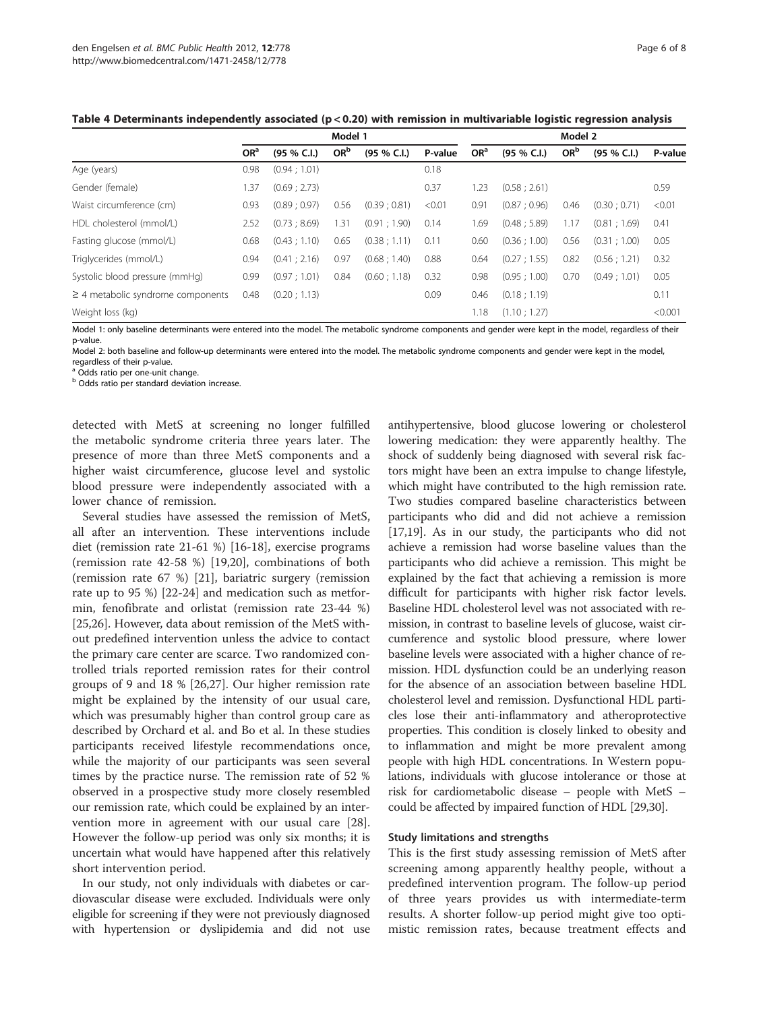<span id="page-5-0"></span>

| Table 4 Determinants independently associated (p<0.20) with remission in multivariable logistic regression analysis |  |  |  |  |
|---------------------------------------------------------------------------------------------------------------------|--|--|--|--|
|---------------------------------------------------------------------------------------------------------------------|--|--|--|--|

|                                        | Model 1         |              |                 |                | Model 2 |                 |              |                 |              |         |
|----------------------------------------|-----------------|--------------|-----------------|----------------|---------|-----------------|--------------|-----------------|--------------|---------|
|                                        | OR <sup>a</sup> | (95 % C.I.)  | OR <sup>b</sup> | $(95 \% C.I.)$ | P-value | OR <sup>a</sup> | (95 % C.I.)  | OR <sup>b</sup> | (95 % C.I.)  | P-value |
| Age (years)                            | 0.98            | (0.94; 1.01) |                 |                | 0.18    |                 |              |                 |              |         |
| Gender (female)                        | 1.37            | (0.69; 2.73) |                 |                | 0.37    | 1.23            | (0.58; 2.61) |                 |              | 0.59    |
| Waist circumference (cm)               | 0.93            | (0.89:0.97)  | 0.56            | (0.39:0.81)    | < 0.01  | 0.91            | (0.87; 0.96) | 0.46            | (0.30; 0.71) | < 0.01  |
| HDL cholesterol (mmol/L)               | 2.52            | (0.73:8.69)  | 1.31            | (0.91; 1.90)   | 0.14    | 1.69            | (0.48:5.89)  | 1.17            | (0.81; 1.69) | 0.41    |
| Fasting glucose (mmol/L)               | 0.68            | (0.43:1.10)  | 0.65            | (0.38; 1.11)   | 0.11    | 0.60            | (0.36; 1.00) | 0.56            | (0.31; 1.00) | 0.05    |
| Triglycerides (mmol/L)                 | 0.94            | (0.41; 2.16) | 0.97            | (0.68; 1.40)   | 0.88    | 0.64            | (0.27; 1.55) | 0.82            | (0.56; 1.21) | 0.32    |
| Systolic blood pressure (mmHq)         | 0.99            | (0.97; 1.01) | 0.84            | (0.60; 1.18)   | 0.32    | 0.98            | (0.95; 1.00) | 0.70            | (0.49; 1.01) | 0.05    |
| $\geq$ 4 metabolic syndrome components | 0.48            | (0.20; 1.13) |                 |                | 0.09    | 0.46            | (0.18; 1.19) |                 |              | 0.11    |
| Weight loss (kg)                       |                 |              |                 |                |         | 1.18            | (1.10; 1.27) |                 |              | < 0.001 |

Model 1: only baseline determinants were entered into the model. The metabolic syndrome components and gender were kept in the model, regardless of their p-value.

Model 2: both baseline and follow-up determinants were entered into the model. The metabolic syndrome components and gender were kept in the model. regardless of their p-value.

<sup>a</sup> Odds ratio per one-unit change.

**b** Odds ratio per standard deviation increase.

detected with MetS at screening no longer fulfilled the metabolic syndrome criteria three years later. The presence of more than three MetS components and a higher waist circumference, glucose level and systolic blood pressure were independently associated with a lower chance of remission.

Several studies have assessed the remission of MetS, all after an intervention. These interventions include diet (remission rate 21-61 %) [[16-18](#page-7-0)], exercise programs (remission rate 42-58 %) [\[19,20](#page-7-0)], combinations of both (remission rate 67 %) [[21](#page-7-0)], bariatric surgery (remission rate up to 95 %) [[22-24](#page-7-0)] and medication such as metformin, fenofibrate and orlistat (remission rate 23-44 %) [[25,26\]](#page-7-0). However, data about remission of the MetS without predefined intervention unless the advice to contact the primary care center are scarce. Two randomized controlled trials reported remission rates for their control groups of 9 and 18 % [\[26,27](#page-7-0)]. Our higher remission rate might be explained by the intensity of our usual care, which was presumably higher than control group care as described by Orchard et al. and Bo et al. In these studies participants received lifestyle recommendations once, while the majority of our participants was seen several times by the practice nurse. The remission rate of 52 % observed in a prospective study more closely resembled our remission rate, which could be explained by an intervention more in agreement with our usual care [\[28](#page-7-0)]. However the follow-up period was only six months; it is uncertain what would have happened after this relatively short intervention period.

In our study, not only individuals with diabetes or cardiovascular disease were excluded. Individuals were only eligible for screening if they were not previously diagnosed with hypertension or dyslipidemia and did not use

antihypertensive, blood glucose lowering or cholesterol lowering medication: they were apparently healthy. The shock of suddenly being diagnosed with several risk factors might have been an extra impulse to change lifestyle, which might have contributed to the high remission rate. Two studies compared baseline characteristics between participants who did and did not achieve a remission [[17](#page-7-0),[19](#page-7-0)]. As in our study, the participants who did not achieve a remission had worse baseline values than the participants who did achieve a remission. This might be explained by the fact that achieving a remission is more difficult for participants with higher risk factor levels. Baseline HDL cholesterol level was not associated with remission, in contrast to baseline levels of glucose, waist circumference and systolic blood pressure, where lower baseline levels were associated with a higher chance of remission. HDL dysfunction could be an underlying reason for the absence of an association between baseline HDL cholesterol level and remission. Dysfunctional HDL particles lose their anti-inflammatory and atheroprotective properties. This condition is closely linked to obesity and to inflammation and might be more prevalent among people with high HDL concentrations. In Western populations, individuals with glucose intolerance or those at risk for cardiometabolic disease – people with MetS – could be affected by impaired function of HDL [[29,30\]](#page-7-0).

#### Study limitations and strengths

This is the first study assessing remission of MetS after screening among apparently healthy people, without a predefined intervention program. The follow-up period of three years provides us with intermediate-term results. A shorter follow-up period might give too optimistic remission rates, because treatment effects and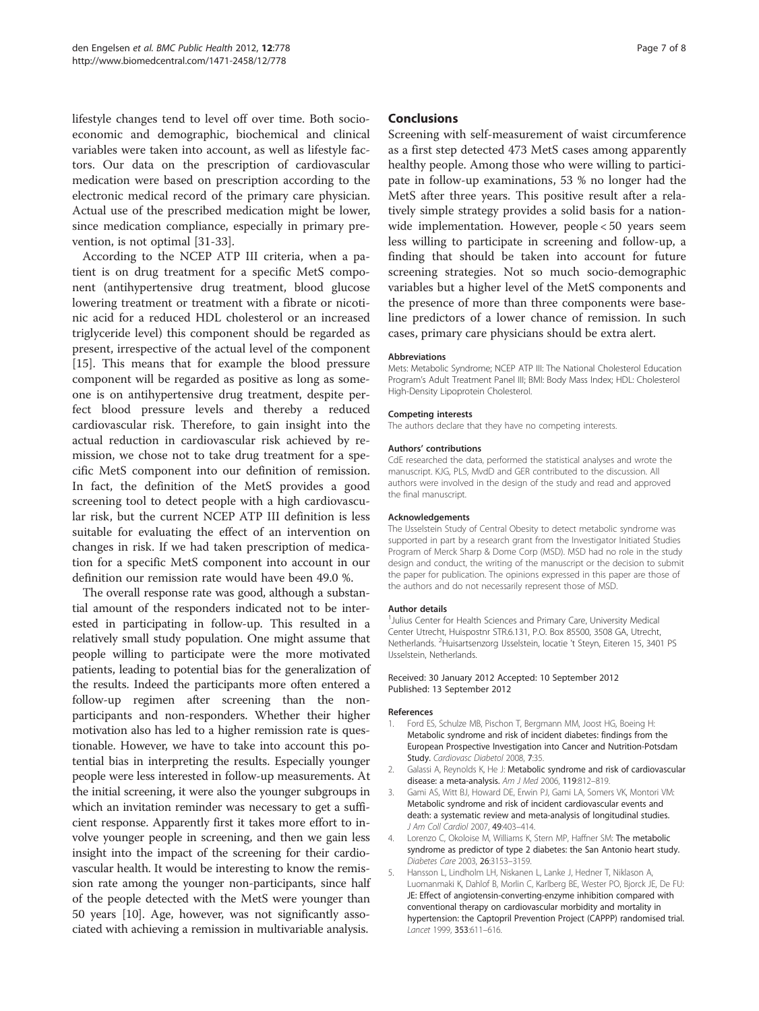<span id="page-6-0"></span>lifestyle changes tend to level off over time. Both socioeconomic and demographic, biochemical and clinical variables were taken into account, as well as lifestyle factors. Our data on the prescription of cardiovascular medication were based on prescription according to the electronic medical record of the primary care physician. Actual use of the prescribed medication might be lower, since medication compliance, especially in primary prevention, is not optimal [[31](#page-7-0)-[33\]](#page-7-0).

According to the NCEP ATP III criteria, when a patient is on drug treatment for a specific MetS component (antihypertensive drug treatment, blood glucose lowering treatment or treatment with a fibrate or nicotinic acid for a reduced HDL cholesterol or an increased triglyceride level) this component should be regarded as present, irrespective of the actual level of the component [[15\]](#page-7-0). This means that for example the blood pressure component will be regarded as positive as long as someone is on antihypertensive drug treatment, despite perfect blood pressure levels and thereby a reduced cardiovascular risk. Therefore, to gain insight into the actual reduction in cardiovascular risk achieved by remission, we chose not to take drug treatment for a specific MetS component into our definition of remission. In fact, the definition of the MetS provides a good screening tool to detect people with a high cardiovascular risk, but the current NCEP ATP III definition is less suitable for evaluating the effect of an intervention on changes in risk. If we had taken prescription of medication for a specific MetS component into account in our definition our remission rate would have been 49.0 %.

The overall response rate was good, although a substantial amount of the responders indicated not to be interested in participating in follow-up. This resulted in a relatively small study population. One might assume that people willing to participate were the more motivated patients, leading to potential bias for the generalization of the results. Indeed the participants more often entered a follow-up regimen after screening than the nonparticipants and non-responders. Whether their higher motivation also has led to a higher remission rate is questionable. However, we have to take into account this potential bias in interpreting the results. Especially younger people were less interested in follow-up measurements. At the initial screening, it were also the younger subgroups in which an invitation reminder was necessary to get a sufficient response. Apparently first it takes more effort to involve younger people in screening, and then we gain less insight into the impact of the screening for their cardiovascular health. It would be interesting to know the remission rate among the younger non-participants, since half of the people detected with the MetS were younger than 50 years [[10](#page-7-0)]. Age, however, was not significantly associated with achieving a remission in multivariable analysis.

# Conclusions

Screening with self-measurement of waist circumference as a first step detected 473 MetS cases among apparently healthy people. Among those who were willing to participate in follow-up examinations, 53 % no longer had the MetS after three years. This positive result after a relatively simple strategy provides a solid basis for a nationwide implementation. However, people < 50 years seem less willing to participate in screening and follow-up, a finding that should be taken into account for future screening strategies. Not so much socio-demographic variables but a higher level of the MetS components and the presence of more than three components were baseline predictors of a lower chance of remission. In such cases, primary care physicians should be extra alert.

#### Abbreviations

Mets: Metabolic Syndrome; NCEP ATP III: The National Cholesterol Education Program's Adult Treatment Panel III; BMI: Body Mass Index; HDL: Cholesterol High-Density Lipoprotein Cholesterol.

#### Competing interests

The authors declare that they have no competing interests.

#### Authors' contributions

CdE researched the data, performed the statistical analyses and wrote the manuscript. KJG, PLS, MvdD and GER contributed to the discussion. All authors were involved in the design of the study and read and approved the final manuscript.

#### Acknowledgements

The IJsselstein Study of Central Obesity to detect metabolic syndrome was supported in part by a research grant from the Investigator Initiated Studies Program of Merck Sharp & Dome Corp (MSD). MSD had no role in the study design and conduct, the writing of the manuscript or the decision to submit the paper for publication. The opinions expressed in this paper are those of the authors and do not necessarily represent those of MSD.

#### Author details

<sup>1</sup>Julius Center for Health Sciences and Primary Care, University Medical Center Utrecht, Huispostnr STR.6.131, P.O. Box 85500, 3508 GA, Utrecht, Netherlands. <sup>2</sup>Huisartsenzorg IJsselstein, locatie 't Steyn, Eiteren 15, 3401 PS IJsselstein, Netherlands.

#### Received: 30 January 2012 Accepted: 10 September 2012 Published: 13 September 2012

#### References

- 1. Ford ES, Schulze MB, Pischon T, Bergmann MM, Joost HG, Boeing H: Metabolic syndrome and risk of incident diabetes: findings from the European Prospective Investigation into Cancer and Nutrition-Potsdam Study. Cardiovasc Diabetol 2008, 7:35.
- 2. Galassi A, Reynolds K, He J: Metabolic syndrome and risk of cardiovascular disease: a meta-analysis. Am J Med 2006, 119:812-819.
- 3. Gami AS, Witt BJ, Howard DE, Erwin PJ, Gami LA, Somers VK, Montori VM: Metabolic syndrome and risk of incident cardiovascular events and death: a systematic review and meta-analysis of longitudinal studies. J Am Coll Cardiol 2007, 49:403–414.
- 4. Lorenzo C, Okoloise M, Williams K, Stern MP, Haffner SM: The metabolic syndrome as predictor of type 2 diabetes: the San Antonio heart study. Diabetes Care 2003, 26:3153–3159.
- 5. Hansson L, Lindholm LH, Niskanen L, Lanke J, Hedner T, Niklason A, Luomanmaki K, Dahlof B, Morlin C, Karlberg BE, Wester PO, Bjorck JE, De FU: JE: Effect of angiotensin-converting-enzyme inhibition compared with conventional therapy on cardiovascular morbidity and mortality in hypertension: the Captopril Prevention Project (CAPPP) randomised trial. Lancet 1999, 353:611–616.